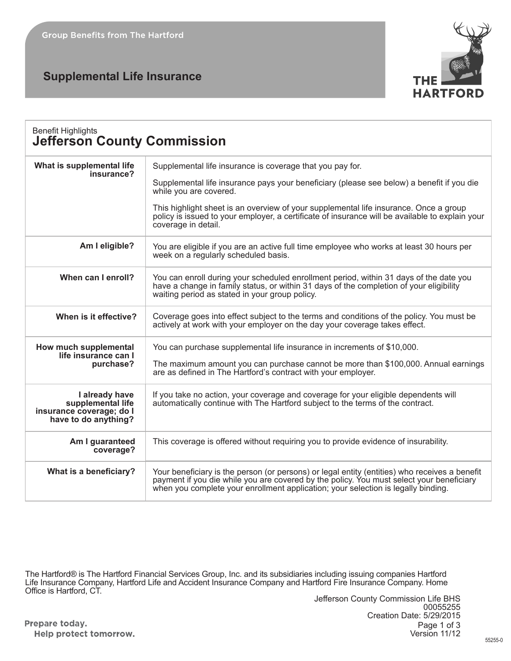## **Supplemental Life Insurance**



| <b>Benefit Highlights</b><br><b>Jefferson County Commission</b>                         |                                                                                                                                                                                                                                                                                |  |
|-----------------------------------------------------------------------------------------|--------------------------------------------------------------------------------------------------------------------------------------------------------------------------------------------------------------------------------------------------------------------------------|--|
| What is supplemental life<br>insurance?                                                 | Supplemental life insurance is coverage that you pay for.                                                                                                                                                                                                                      |  |
|                                                                                         | Supplemental life insurance pays your beneficiary (please see below) a benefit if you die<br>while you are covered.                                                                                                                                                            |  |
|                                                                                         | This highlight sheet is an overview of your supplemental life insurance. Once a group<br>policy is issued to your employer, a certificate of insurance will be available to explain your<br>coverage in detail.                                                                |  |
| Am I eligible?                                                                          | You are eligible if you are an active full time employee who works at least 30 hours per<br>week on a regularly scheduled basis.                                                                                                                                               |  |
| When can I enroll?                                                                      | You can enroll during your scheduled enrollment period, within 31 days of the date you<br>have a change in family status, or within 31 days of the completion of your eligibility<br>waiting period as stated in your group policy.                                            |  |
| When is it effective?                                                                   | Coverage goes into effect subject to the terms and conditions of the policy. You must be<br>actively at work with your employer on the day your coverage takes effect.                                                                                                         |  |
| How much supplemental<br>life insurance can I<br>purchase?                              | You can purchase supplemental life insurance in increments of \$10,000.                                                                                                                                                                                                        |  |
|                                                                                         | The maximum amount you can purchase cannot be more than \$100,000. Annual earnings<br>are as defined in The Hartford's contract with your employer.                                                                                                                            |  |
| I already have<br>supplemental life<br>insurance coverage; do I<br>have to do anything? | If you take no action, your coverage and coverage for your eligible dependents will<br>automatically continue with The Hartford subject to the terms of the contract.                                                                                                          |  |
| Am I guaranteed<br>coverage?                                                            | This coverage is offered without requiring you to provide evidence of insurability.                                                                                                                                                                                            |  |
| What is a beneficiary?                                                                  | Your beneficiary is the person (or persons) or legal entity (entities) who receives a benefit<br>payment if you die while you are covered by the policy. You must select your beneficiary<br>when you complete your enrollment application; your selection is legally binding. |  |

The Hartford® is The Hartford Financial Services Group, Inc. and its subsidiaries including issuing companies Hartford<br>Life Insurance Company, Hartford Life and Accident Insurance Company and Hartford Fire Insurance Compan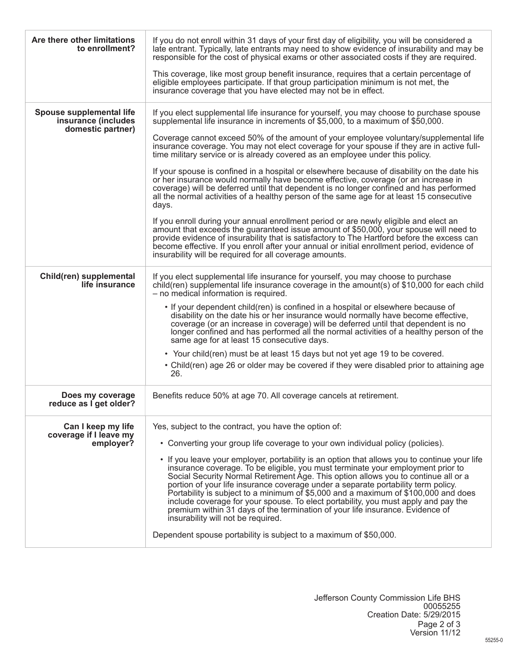| Are there other limitations<br>to enrollment?                        | If you do not enroll within 31 days of your first day of eligibility, you will be considered a<br>late entrant. Typically, late entrants may need to show evidence of insurability and may be<br>responsible for the cost of physical exams or other associated costs if they are required.<br>This coverage, like most group benefit insurance, requires that a certain percentage of<br>eligible employees participate. If that group participation minimum is not met, the<br>insurance coverage that you have elected may not be in effect.                                                                                                                                                                                                                                                                                                                                                                                                                                                                                                                                                                                                                                                                                                                                      |
|----------------------------------------------------------------------|--------------------------------------------------------------------------------------------------------------------------------------------------------------------------------------------------------------------------------------------------------------------------------------------------------------------------------------------------------------------------------------------------------------------------------------------------------------------------------------------------------------------------------------------------------------------------------------------------------------------------------------------------------------------------------------------------------------------------------------------------------------------------------------------------------------------------------------------------------------------------------------------------------------------------------------------------------------------------------------------------------------------------------------------------------------------------------------------------------------------------------------------------------------------------------------------------------------------------------------------------------------------------------------|
| Spouse supplemental life<br>insurance (includes<br>domestic partner) | If you elect supplemental life insurance for yourself, you may choose to purchase spouse<br>supplemental life insurance in increments of \$5,000, to a maximum of \$50,000.<br>Coverage cannot exceed 50% of the amount of your employee voluntary/supplemental life<br>insurance coverage. You may not elect coverage for your spouse if they are in active full-<br>time military service or is already covered as an employee under this policy.<br>If your spouse is confined in a hospital or elsewhere because of disability on the date his<br>or her insurance would normally have become effective, coverage (or an increase in<br>coverage) will be deferred until that dependent is no longer confined and has performed<br>all the normal activities of a healthy person of the same age for at least 15 consecutive<br>days.<br>If you enroll during your annual enrollment period or are newly eligible and elect an<br>amount that exceeds the guaranteed issue amount of \$50,000, your spouse will need to<br>provide evidence of insurability that is satisfactory to The Hartford before the excess can<br>become effective. If you enroll after your annual or initial enrollment period, evidence of<br>insurability will be required for all coverage amounts. |
| Child(ren) supplemental<br>life insurance                            | If you elect supplemental life insurance for yourself, you may choose to purchase<br>child(ren) supplemental life insurance coverage in the amount(s) of \$10,000 for each child<br>- no medical information is required.<br>• If your dependent child(ren) is confined in a hospital or elsewhere because of<br>disability on the date his or her insurance would normally have become effective,<br>coverage (or an increase in coverage) will be deferred until that dependent is no<br>longer confined and has performed all the normal activities of a healthy person of the<br>same age for at least 15 consecutive days.<br>• Your child(ren) must be at least 15 days but not yet age 19 to be covered.<br>• Child(ren) age 26 or older may be covered if they were disabled prior to attaining age<br>26.                                                                                                                                                                                                                                                                                                                                                                                                                                                                   |
| Does my coverage<br>reduce as I get older?                           | Benefits reduce 50% at age 70. All coverage cancels at retirement.                                                                                                                                                                                                                                                                                                                                                                                                                                                                                                                                                                                                                                                                                                                                                                                                                                                                                                                                                                                                                                                                                                                                                                                                                   |
| Can I keep my life<br>coverage if I leave my<br>employer?            | Yes, subject to the contract, you have the option of:<br>• Converting your group life coverage to your own individual policy (policies).<br>• If you leave your employer, portability is an option that allows you to continue your life<br>insurance coverage. To be eligible, you must terminate your employment prior to<br>Social Security Normal Retirement Age. This option allows you to continue all or a<br>portion of your life insurance coverage under a separate portability term policy.<br>Portability is subject to a minimum of \$5,000 and a maximum of \$100,000 and does<br>include coverage for your spouse. To elect portability, you must apply and pay the<br>premium within 31 days of the termination of your life insurance. Evidence of<br>insurability will not be required.<br>Dependent spouse portability is subject to a maximum of \$50,000.                                                                                                                                                                                                                                                                                                                                                                                                       |